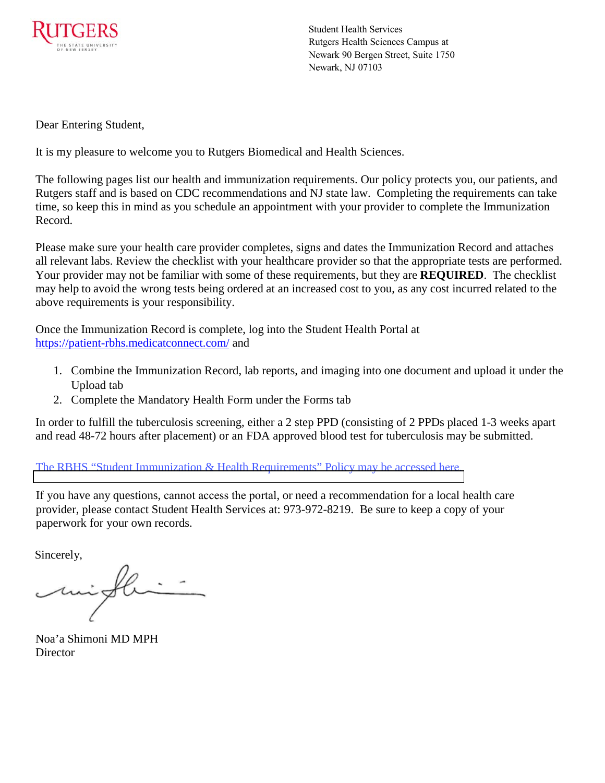

Student Health Services Rutgers Health Sciences Campus at Newark 90 Bergen Street, Suite 1750 Newark, NJ 07103

Dear Entering Student,

It is my pleasure to welcome you to Rutgers Biomedical and Health Sciences.

The following pages list our health and immunization requirements. Our policy protects you, our patients, and Rutgers staff and is based on CDC recommendations and NJ state law. Completing the requirements can take time, so keep this in mind as you schedule an appointment with your provider to complete the Immunization Record.

Please make sure your health care provider completes, signs and dates the Immunization Record and attaches all relevant labs. Review the checklist with your healthcare provider so that the appropriate tests are performed. Your provider may not be familiar with some of these requirements, but they are **REQUIRED**. The checklist may help to avoid the wrong tests being ordered at an increased cost to you, as any cost incurred related to the above requirements is your responsibility.

Once the Immunization Record is complete, log into the Student Health Portal a[t](https://patient-rbhs.medicatconnect.com/)  [https://patient-rbhs.medica](https://patient-rbhs.medicatconnect.com/)tconnect.com/ and

- 1. Combine the Immunization Record, lab reports, and imaging into one document and upload it under the Upload tab
- 2. Complete the Mandatory Health Form under the Forms tab

In order to fulfill the tuberculosis screening, either a 2 step PPD (consisting of 2 PPDs placed 1-3 weeks apart and read 48-72 hours after placement) or an FDA approved blood test for tuberculosis may be submitted.

[The RBHS "Student Immunization & Health Requirements" Policy may](https://policies.rutgers.edu/file/3129/download?token=RgpyIjFa) be accessed here.

If you have any questions, cannot access the portal, or need a recommendation for a local health care provider, please contact Student Health Services at: 973-972-8219. Be sure to keep a copy of your paperwork for your own records.

Sincerely,

Noa'a Shimoni MD MPH **Director**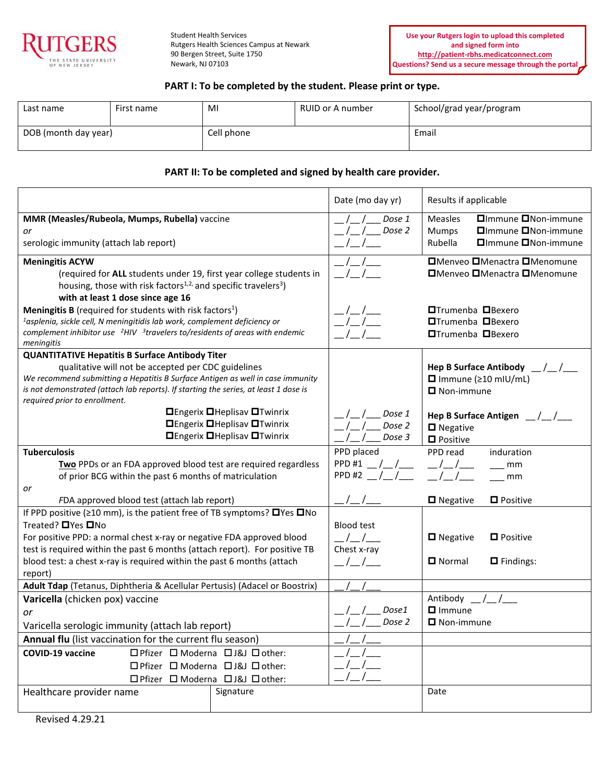

Student Health Services Rutgers Health Sciences Campus at Newark 90 Bergen Street, Suite 1750 Newark, NJ 07103

## **PART I: To be completed by the student. Please print or type.**

| Last name            | First name | MI         | RUID or A number | School/grad year/program |
|----------------------|------------|------------|------------------|--------------------------|
| DOB (month day year) |            | Cell phone |                  | Email                    |

#### **PART II: To be completed and signed by health care provider.**

|                                                                                                                                                                                                                                                                     |                                                     | Date (mo day yr)        | Results if applicable                                                                                   |  |  |
|---------------------------------------------------------------------------------------------------------------------------------------------------------------------------------------------------------------------------------------------------------------------|-----------------------------------------------------|-------------------------|---------------------------------------------------------------------------------------------------------|--|--|
| MMR (Measles/Rubeola, Mumps, Rubella) vaccine<br>or<br>serologic immunity (attach lab report)                                                                                                                                                                       |                                                     | Dose 1<br>Dose 2        | □Immune □Non-immune<br><b>Measles</b><br>□Immune □Non-immune<br>Mumps<br>Rubella<br>□Immune □Non-immune |  |  |
| <b>Meningitis ACYW</b><br>(required for ALL students under 19, first year college students in<br>housing, those with risk factors <sup>1,2,</sup> and specific travelers <sup>3</sup> )<br>with at least 1 dose since age 16                                        |                                                     |                         | □Menveo □Menactra □Menomune<br>□Menveo □Menactra □Menomune                                              |  |  |
| <b>Meningitis B</b> (required for students with risk factors <sup>1</sup> )<br><sup>1</sup> asplenia, sickle cell, N meningitidis lab work, complement deficiency or<br>complement inhibitor use $2H/V$ 3travelers to/residents of areas with endemic<br>meningitis |                                                     |                         | <b>□Trumenba</b> □Bexero<br><b>□Trumenba</b> □Bexero<br><b>□Trumenba</b> □Bexero                        |  |  |
| <b>QUANTITATIVE Hepatitis B Surface Antibody Titer</b>                                                                                                                                                                                                              |                                                     |                         |                                                                                                         |  |  |
| qualitative will not be accepted per CDC guidelines<br>We recommend submitting a Hepatitis B Surface Antigen as well in case immunity<br>is not demonstrated (attach lab reports). If starting the series, at least 1 dose is<br>required prior to enrollment.      |                                                     |                         | Hep B Surface Antibody $\_\$<br>$\Box$ Immune ( $\geq 10$ mIU/mL)<br>$\blacksquare$ Non-immune          |  |  |
|                                                                                                                                                                                                                                                                     | <b>O</b> Engerix <b>O</b> Heplisav <b>O</b> Twinrix | Dose 1                  | Hep B Surface Antigen $\frac{1}{2}$ / $\frac{1}{2}$                                                     |  |  |
|                                                                                                                                                                                                                                                                     | <b>□Engerix □Heplisav □Twinrix</b>                  | Dose 2                  | $\blacksquare$ Negative                                                                                 |  |  |
|                                                                                                                                                                                                                                                                     | <b>□Engerix □Heplisav □Twinrix</b>                  | Dose 3                  | $\blacksquare$ Positive                                                                                 |  |  |
| <b>Tuberculosis</b>                                                                                                                                                                                                                                                 |                                                     | PPD placed              | PPD read<br>induration                                                                                  |  |  |
| Two PPDs or an FDA approved blood test are required regardless                                                                                                                                                                                                      |                                                     | PPD #1 $_{-}/_{-}/_{-}$ | $\sqrt{1}$<br>mm                                                                                        |  |  |
| of prior BCG within the past 6 months of matriculation                                                                                                                                                                                                              |                                                     | PPD#2                   | mm                                                                                                      |  |  |
| or                                                                                                                                                                                                                                                                  |                                                     |                         |                                                                                                         |  |  |
| FDA approved blood test (attach lab report)                                                                                                                                                                                                                         |                                                     |                         | □ Negative<br><b>D</b> Positive                                                                         |  |  |
| If PPD positive ( $\geq$ 10 mm), is the patient free of TB symptoms? $\Box$ Yes $\Box$ No                                                                                                                                                                           |                                                     |                         |                                                                                                         |  |  |
| Treated? □ Yes □ No                                                                                                                                                                                                                                                 |                                                     | <b>Blood test</b>       |                                                                                                         |  |  |
| For positive PPD: a normal chest x-ray or negative FDA approved blood                                                                                                                                                                                               |                                                     |                         | $\blacksquare$ Negative<br>$\blacksquare$ Positive                                                      |  |  |
| test is required within the past 6 months (attach report). For positive TB                                                                                                                                                                                          |                                                     | Chest x-ray             | $\Box$ Normal                                                                                           |  |  |
| blood test: a chest x-ray is required within the past 6 months (attach<br>report)                                                                                                                                                                                   |                                                     | _/_/__                  | $\Box$ Findings:                                                                                        |  |  |
| Adult Tdap (Tetanus, Diphtheria & Acellular Pertusis) (Adacel or Boostrix)                                                                                                                                                                                          |                                                     |                         |                                                                                                         |  |  |
| Varicella (chicken pox) vaccine                                                                                                                                                                                                                                     |                                                     |                         | Antibody / /                                                                                            |  |  |
| or                                                                                                                                                                                                                                                                  |                                                     | Dose1                   | $\Box$ Immune                                                                                           |  |  |
| Varicella serologic immunity (attach lab report)                                                                                                                                                                                                                    |                                                     | Dose 2                  | $\Box$ Non-immune                                                                                       |  |  |
| Annual flu (list vaccination for the current flu season)                                                                                                                                                                                                            |                                                     |                         |                                                                                                         |  |  |
| <b>COVID-19 vaccine</b><br>□ Pfizer □ Moderna □ J&J □ other:                                                                                                                                                                                                        |                                                     |                         |                                                                                                         |  |  |
| □ Pfizer □ Moderna □ J&J □ other:                                                                                                                                                                                                                                   |                                                     |                         |                                                                                                         |  |  |
| □ Pfizer □ Moderna □ J&J □ other:                                                                                                                                                                                                                                   |                                                     |                         |                                                                                                         |  |  |
| Healthcare provider name                                                                                                                                                                                                                                            | Signature                                           |                         | Date                                                                                                    |  |  |
|                                                                                                                                                                                                                                                                     |                                                     |                         |                                                                                                         |  |  |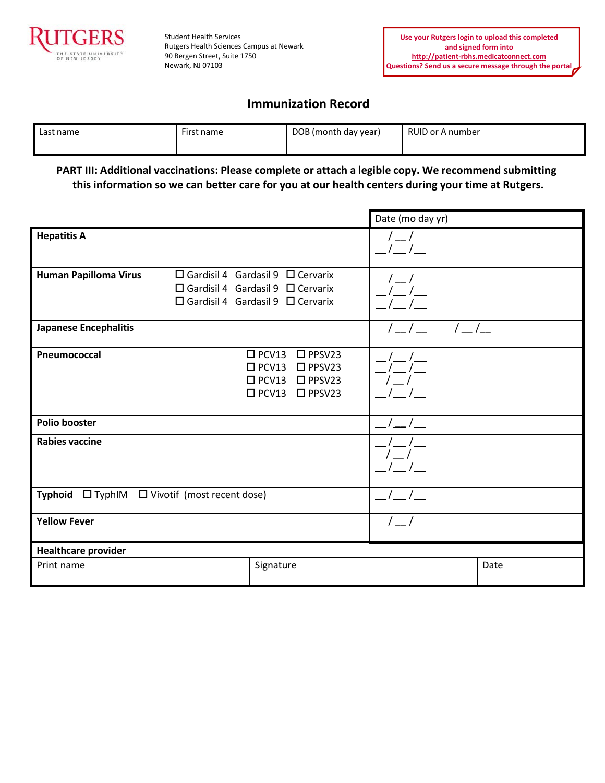

Student Health Services Rutgers Health Sciences Campus at Newark 90 Bergen Street, Suite 1750 Newark, NJ 07103

## **Immunization Record**

| Last name | First name | DOB (month day year) | RUID or A number |
|-----------|------------|----------------------|------------------|
|           |            |                      |                  |

**PART III: Additional vaccinations: Please complete or attach a legible copy. We recommend submitting this information so we can better care for you at our health centers during your time at Rutgers.**

|                                               |                                                                                                                                              | Date (mo day yr) |      |
|-----------------------------------------------|----------------------------------------------------------------------------------------------------------------------------------------------|------------------|------|
| <b>Hepatitis A</b>                            |                                                                                                                                              | $\sqrt{2}$       |      |
| <b>Human Papilloma Virus</b>                  | $\Box$ Gardisil 4 Gardasil 9 $\Box$ Cervarix<br>$\Box$ Gardisil 4 Gardasil 9 $\Box$ Cervarix<br>$\Box$ Gardisil 4 Gardasil 9 $\Box$ Cervarix |                  |      |
| <b>Japanese Encephalitis</b>                  |                                                                                                                                              |                  |      |
| Pneumococcal                                  | $\square$ PCV13<br>$\square$ PPSV23<br>$\square$ PCV13<br>$\square$ PPSV23<br>$\Box$ PCV13<br>$\Box$ PPSV23<br>$\Box$ PCV13 $\Box$ PPSV23    |                  |      |
| <b>Polio booster</b>                          |                                                                                                                                              |                  |      |
| <b>Rabies vaccine</b>                         |                                                                                                                                              |                  |      |
| Typhoid □ TyphIM □ Vivotif (most recent dose) |                                                                                                                                              |                  |      |
| <b>Yellow Fever</b>                           |                                                                                                                                              |                  |      |
| <b>Healthcare provider</b>                    |                                                                                                                                              |                  |      |
| Print name                                    | Signature                                                                                                                                    |                  | Date |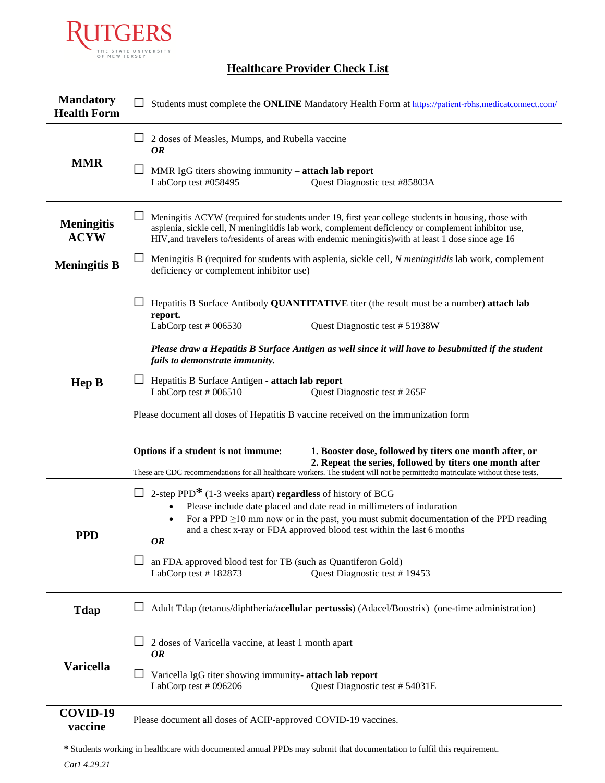

# **Healthcare Provider Check List**

| <b>Mandatory</b><br><b>Health Form</b> | $\Box$<br>Students must complete the ONLINE Mandatory Health Form at https://patient-rbhs.medicatconnect.com/                                                                                                                                                                                                                                                                                                                                                                                                                                                                                                                                                                                                                                                                                             |  |  |  |
|----------------------------------------|-----------------------------------------------------------------------------------------------------------------------------------------------------------------------------------------------------------------------------------------------------------------------------------------------------------------------------------------------------------------------------------------------------------------------------------------------------------------------------------------------------------------------------------------------------------------------------------------------------------------------------------------------------------------------------------------------------------------------------------------------------------------------------------------------------------|--|--|--|
| <b>MMR</b>                             | $\Box$ 2 doses of Measles, Mumps, and Rubella vaccine<br>OR<br>MMR IgG titers showing immunity - attach lab report<br>ப<br>LabCorp test #058495<br>Quest Diagnostic test #85803A                                                                                                                                                                                                                                                                                                                                                                                                                                                                                                                                                                                                                          |  |  |  |
| <b>Meningitis</b><br><b>ACYW</b>       | Meningitis ACYW (required for students under 19, first year college students in housing, those with<br>asplenia, sickle cell, N meningitidis lab work, complement deficiency or complement inhibitor use,<br>HIV, and travelers to/residents of areas with endemic meningitis) with at least 1 dose since age 16                                                                                                                                                                                                                                                                                                                                                                                                                                                                                          |  |  |  |
| <b>Meningitis B</b>                    | $\Box$ Meningitis B (required for students with asplenia, sickle cell, N meningitidis lab work, complement<br>deficiency or complement inhibitor use)                                                                                                                                                                                                                                                                                                                                                                                                                                                                                                                                                                                                                                                     |  |  |  |
| <b>Hep B</b>                           | Hepatitis B Surface Antibody QUANTITATIVE titer (the result must be a number) attach lab<br>report.<br>LabCorp test $#006530$<br>Quest Diagnostic test # 51938W<br>Please draw a Hepatitis B Surface Antigen as well since it will have to besubmitted if the student<br>fails to demonstrate immunity.<br>Hepatitis B Surface Antigen - attach lab report<br>Quest Diagnostic test #265F<br>LabCorp test $#006510$<br>Please document all doses of Hepatitis B vaccine received on the immunization form<br>Options if a student is not immune:<br>1. Booster dose, followed by titers one month after, or<br>2. Repeat the series, followed by titers one month after<br>These are CDC recommendations for all healthcare workers. The student will not be permittedto matriculate without these tests. |  |  |  |
| <b>PPD</b>                             | 2-step PPD* (1-3 weeks apart) regardless of history of BCG<br>Please include date placed and date read in millimeters of induration<br>For a PPD $\geq$ 10 mm now or in the past, you must submit documentation of the PPD reading<br>and a chest x-ray or FDA approved blood test within the last 6 months<br><b>OR</b><br>an FDA approved blood test for TB (such as Quantiferon Gold)<br>ப<br>LabCorp test #182873<br>Quest Diagnostic test #19453                                                                                                                                                                                                                                                                                                                                                     |  |  |  |
| <b>Tdap</b>                            | Adult Tdap (tetanus/diphtheria/acellular pertussis) (Adacel/Boostrix) (one-time administration)                                                                                                                                                                                                                                                                                                                                                                                                                                                                                                                                                                                                                                                                                                           |  |  |  |
| <b>Varicella</b>                       | 2 doses of Varicella vaccine, at least 1 month apart<br><i>OR</i><br>Varicella IgG titer showing immunity- attach lab report<br>LabCorp test # 096206<br>Quest Diagnostic test #54031E                                                                                                                                                                                                                                                                                                                                                                                                                                                                                                                                                                                                                    |  |  |  |
| COVID-19<br>vaccine                    | Please document all doses of ACIP-approved COVID-19 vaccines.                                                                                                                                                                                                                                                                                                                                                                                                                                                                                                                                                                                                                                                                                                                                             |  |  |  |

**\*** Students working in healthcare with documented annual PPDs may submit that documentation to fulfil this requirement.

*Cat1 4.29.21*